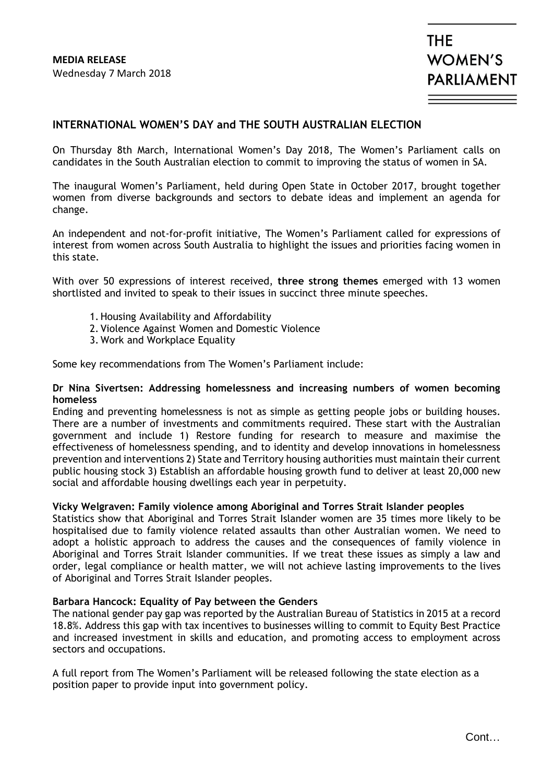### **INTERNATIONAL WOMEN'S DAY and THE SOUTH AUSTRALIAN ELECTION**

On Thursday 8th March, International Women's Day 2018, The Women's Parliament calls on candidates in the South Australian election to commit to improving the status of women in SA.

The inaugural Women's Parliament, held during Open State in October 2017, brought together women from diverse backgrounds and sectors to debate ideas and implement an agenda for change.

An independent and not-for-profit initiative, The Women's Parliament called for expressions of interest from women across South Australia to highlight the issues and priorities facing women in this state.

With over 50 expressions of interest received, **three strong themes** emerged with 13 women shortlisted and invited to speak to their issues in succinct three minute speeches.

- 1.Housing Availability and Affordability
- 2. Violence Against Women and Domestic Violence
- 3. Work and Workplace Equality

Some key recommendations from The Women's Parliament include:

#### **Dr Nina Sivertsen: Addressing homelessness and increasing numbers of women becoming homeless**

Ending and preventing homelessness is not as simple as getting people jobs or building houses. There are a number of investments and commitments required. These start with the Australian government and include 1) Restore funding for research to measure and maximise the effectiveness of homelessness spending, and to identity and develop innovations in homelessness prevention and interventions 2) State and Territory housing authorities must maintain their current public housing stock 3) Establish an affordable housing growth fund to deliver at least 20,000 new social and affordable housing dwellings each year in perpetuity.

#### **Vicky Welgraven: Family violence among Aboriginal and Torres Strait Islander peoples**

Statistics show that Aboriginal and Torres Strait Islander women are 35 times more likely to be hospitalised due to family violence related assaults than other Australian women. We need to adopt a holistic approach to address the causes and the consequences of family violence in Aboriginal and Torres Strait Islander communities. If we treat these issues as simply a law and order, legal compliance or health matter, we will not achieve lasting improvements to the lives of Aboriginal and Torres Strait Islander peoples.

#### **Barbara Hancock: Equality of Pay between the Genders**

The national gender pay gap was reported by the Australian Bureau of Statistics in 2015 at a record 18.8%. Address this gap with tax incentives to businesses willing to commit to Equity Best Practice and increased investment in skills and education, and promoting access to employment across sectors and occupations.

A full report from The Women's Parliament will be released following the state election as a position paper to provide input into government policy.